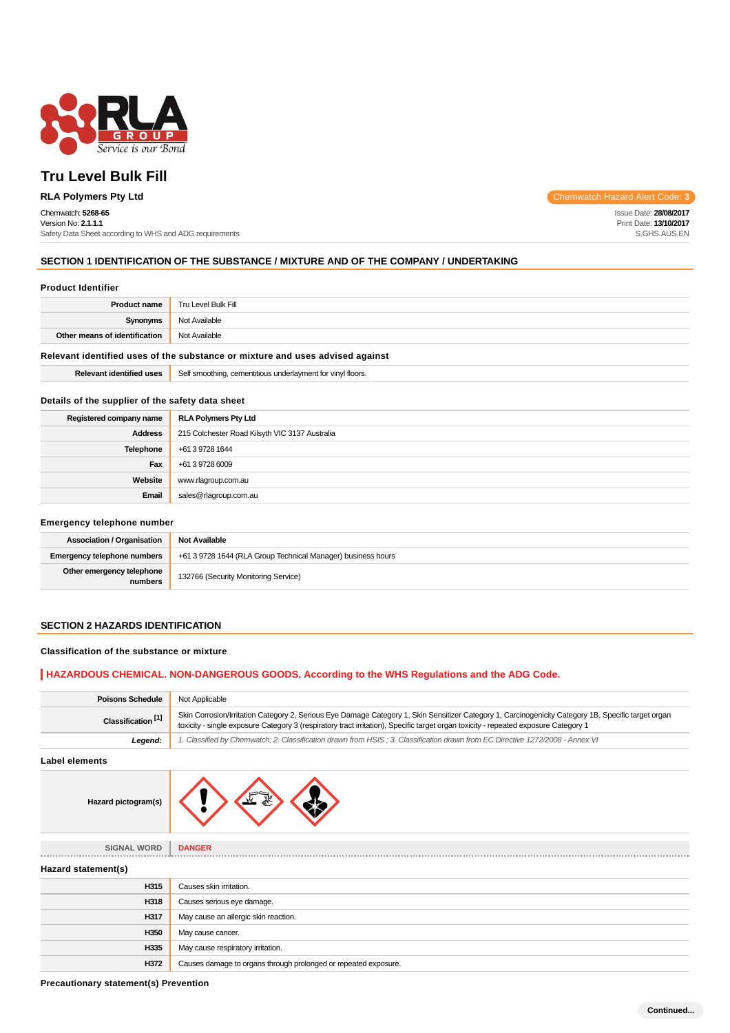

# **Tru Level Bulk Fill**

## Chemwatch: **5268-65**

Version No: **2.1.1.1** Safety Data Sheet according to WHS and ADG requirements

**RLA Polymers Pty Ltd** Chemwatch Hazard Alert Code: **3** 

Issue Date: **28/08/2017** Print Date: **13/10/2017** S.GHS.AUS.EN

## **SECTION 1 IDENTIFICATION OF THE SUBSTANCE / MIXTURE AND OF THE COMPANY / UNDERTAKING**

#### **Product Identifier**

| <b>Product name</b>                                                           | Tru Level Bulk Fill                                         |  |
|-------------------------------------------------------------------------------|-------------------------------------------------------------|--|
| Synonyms                                                                      | Not Available                                               |  |
| Other means of identification                                                 | Not Available                                               |  |
| Relevant identified uses of the substance or mixture and uses advised against |                                                             |  |
| <b>Relevant identified uses</b>                                               | Self smoothing, cementitious underlayment for vinyl floors. |  |

## **Details of the supplier of the safety data sheet**

| Registered company name | <b>RLA Polymers Pty Ltd</b>                    |  |
|-------------------------|------------------------------------------------|--|
| <b>Address</b>          | 215 Colchester Road Kilsyth VIC 3137 Australia |  |
| Telephone               | +61 3 9728 1644                                |  |
| Fax                     | +61 3 9728 6009                                |  |
| Website                 | www.rlagroup.com.au                            |  |
| Email                   | sales@rlagroup.com.au                          |  |

#### **Emergency telephone number**

| <b>Association / Organisation</b>    | <b>Not Available</b>                                         |  |
|--------------------------------------|--------------------------------------------------------------|--|
| <b>Emergency telephone numbers</b>   | +61 3 9728 1644 (RLA Group Technical Manager) business hours |  |
| Other emergency telephone<br>numbers | 132766 (Security Monitoring Service)                         |  |

## **SECTION 2 HAZARDS IDENTIFICATION**

## **Classification of the substance or mixture**

## **HAZARDOUS CHEMICAL. NON-DANGEROUS GOODS. According to the WHS Regulations and the ADG Code.**

| <b>Poisons Schedule</b>       | Not Applicable                                                                                                                                                                                                                                                                             |  |
|-------------------------------|--------------------------------------------------------------------------------------------------------------------------------------------------------------------------------------------------------------------------------------------------------------------------------------------|--|
| Classification <sup>[1]</sup> | Skin Corrosion/Irritation Category 2, Serious Eye Damage Category 1, Skin Sensitizer Category 1, Carcinogenicity Category 1B, Specific target organ<br>toxicity - single exposure Category 3 (respiratory tract irritation), Specific target organ toxicity - repeated exposure Category 1 |  |
| Legend:                       | 1. Classified by Chemwatch; 2. Classification drawn from HSIS ; 3. Classification drawn from EC Directive 1272/2008 - Annex VI                                                                                                                                                             |  |

**Label elements**

| Hazard pictogram(s) |  |  |  |
|---------------------|--|--|--|
|---------------------|--|--|--|

| <b>SIGNAL WORD</b>  | <b>DANGER</b>              |
|---------------------|----------------------------|
| Hazard statement(s) |                            |
| H315                | Causes skin irritation.    |
| H318                | Causes serious eye damage. |

| H318 | Causes serious eye damage.                                      |  |
|------|-----------------------------------------------------------------|--|
| H317 | May cause an allergic skin reaction.                            |  |
| H350 | May cause cancer.                                               |  |
| H335 | May cause respiratory irritation.                               |  |
| H372 | Causes damage to organs through prolonged or repeated exposure. |  |

**Precautionary statement(s) Prevention**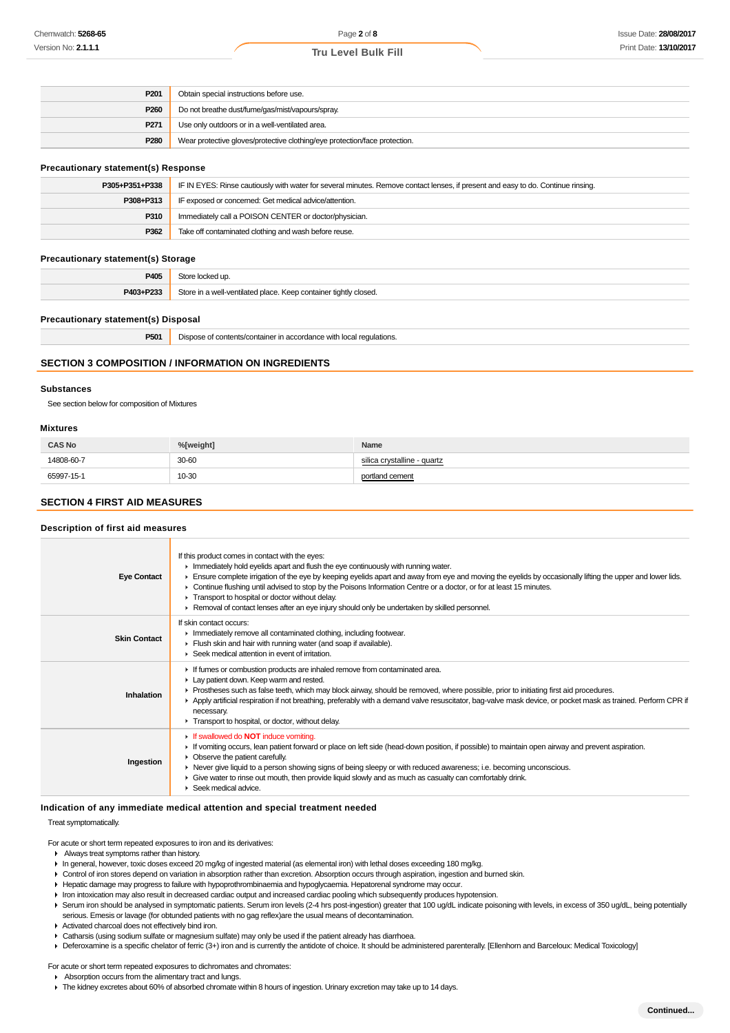## **Tru Level Bulk Fill**

| P <sub>201</sub> | Obtain special instructions before use.                                    |  |
|------------------|----------------------------------------------------------------------------|--|
| P <sub>260</sub> | Do not breathe dust/fume/gas/mist/vapours/spray.                           |  |
| P <sub>271</sub> | Use only outdoors or in a well-ventilated area.                            |  |
| P280             | Wear protective gloves/protective clothing/eye protection/face protection. |  |

#### **Precautionary statement(s) Response**

| P305+P351+P338 | IF IN EYES: Rinse cautiously with water for several minutes. Remove contact lenses, if present and easy to do. Continue rinsing. |  |
|----------------|----------------------------------------------------------------------------------------------------------------------------------|--|
| P308+P313      | IF exposed or concerned: Get medical advice/attention.                                                                           |  |
| P310           | Immediately call a POISON CENTER or doctor/physician.                                                                            |  |
| P362           | Take off contaminated clothing and wash before reuse.                                                                            |  |

#### **Precautionary statement(s) Storage**

| P405      | $\sim$                                                           |  |
|-----------|------------------------------------------------------------------|--|
| ___       | e locked up.                                                     |  |
| P403+P233 | Store in a well-ventilated place. Keep container tightly closed. |  |

#### **Precautionary statement(s) Disposal**

| DE0 | <b>ilations</b> |  |
|-----|-----------------|--|
|     |                 |  |

## **SECTION 3 COMPOSITION / INFORMATION ON INGREDIENTS**

#### **Substances**

See section below for composition of Mixtures

#### **Mixtures**

| <b>CAS No</b>                                       | %[weight] | Name                        |
|-----------------------------------------------------|-----------|-----------------------------|
| 14808-60-7<br>support the control of the control of | 30-60     | silica crystalline - quartz |
| 65997-15-1                                          | 10-30     | portland cement             |

## **SECTION 4 FIRST AID MEASURES**

## **Description of first aid measures**

| <b>Eye Contact</b>  | If this product comes in contact with the eyes:<br>Inmediately hold eyelids apart and flush the eye continuously with running water.<br>Ensure complete irrigation of the eye by keeping eyelids apart and away from eye and moving the eyelids by occasionally lifting the upper and lower lids.<br>• Continue flushing until advised to stop by the Poisons Information Centre or a doctor, or for at least 15 minutes.<br>Transport to hospital or doctor without delay.<br>► Removal of contact lenses after an eye injury should only be undertaken by skilled personnel. |
|---------------------|--------------------------------------------------------------------------------------------------------------------------------------------------------------------------------------------------------------------------------------------------------------------------------------------------------------------------------------------------------------------------------------------------------------------------------------------------------------------------------------------------------------------------------------------------------------------------------|
| <b>Skin Contact</b> | If skin contact occurs:<br>Inmediately remove all contaminated clothing, including footwear.<br>Flush skin and hair with running water (and soap if available).<br>▶ Seek medical attention in event of irritation.                                                                                                                                                                                                                                                                                                                                                            |
| Inhalation          | If fumes or combustion products are inhaled remove from contaminated area.<br>Lay patient down. Keep warm and rested.<br>▶ Prostheses such as false teeth, which may block airway, should be removed, where possible, prior to initiating first aid procedures.<br>▶ Apply artificial respiration if not breathing, preferably with a demand valve resuscitator, bag-valve mask device, or pocket mask as trained. Perform CPR if<br>necessary.<br>Transport to hospital, or doctor, without delay.                                                                            |
| Ingestion           | $\triangleright$ If swallowed do <b>NOT</b> induce vomiting.<br>If vomiting occurs, lean patient forward or place on left side (head-down position, if possible) to maintain open airway and prevent aspiration.<br>$\triangleright$ Observe the patient carefully.<br>▶ Never give liquid to a person showing signs of being sleepy or with reduced awareness; i.e. becoming unconscious.<br>Give water to rinse out mouth, then provide liquid slowly and as much as casualty can comfortably drink.<br>$\blacktriangleright$ Seek medical advice.                           |

#### **Indication of any immediate medical attention and special treatment needed**

Treat symptomatically.

For acute or short term repeated exposures to iron and its derivatives:

- Always treat symptoms rather than history.
- In general, however, toxic doses exceed 20 mg/kg of ingested material (as elemental iron) with lethal doses exceeding 180 mg/kg.
- Control of iron stores depend on variation in absorption rather than excretion. Absorption occurs through aspiration, ingestion and burned skin.
- Hepatic damage may progress to failure with hypoprothrombinaemia and hypoglycaemia. Hepatorenal syndrome may occur.
- I Iron intoxication may also result in decreased cardiac output and increased cardiac pooling which subsequently produces hypotension.
- ▶ Serum iron should be analysed in symptomatic patients. Serum iron levels (2-4 hrs post-ingestion) greater that 100 ug/dL indicate poisoning with levels, in excess of 350 ug/dL, being potentially serious. Emesis or lavage (for obtunded patients with no gag reflex)are the usual means of decontamination.
- Activated charcoal does not effectively bind iron.
- Catharsis (using sodium sulfate or magnesium sulfate) may only be used if the patient already has diarrhoea.

▶ Deferoxamine is a specific chelator of ferric (3+) iron and is currently the antidote of choice. It should be administered parenterally. [Ellenhorn and Barceloux: Medical Toxicology]

For acute or short term repeated exposures to dichromates and chromates:

#### Absorption occurs from the alimentary tract and lungs.

The kidney excretes about 60% of absorbed chromate within 8 hours of ingestion. Urinary excretion may take up to 14 days.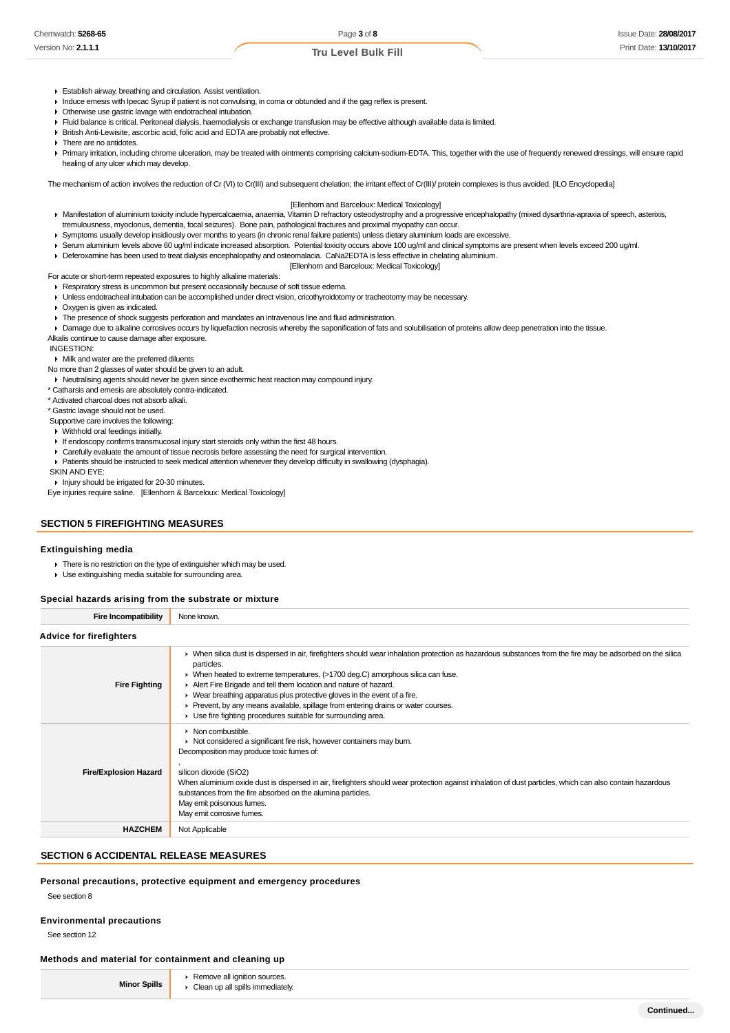## **Tru Level Bulk Fill**

- Establish airway, breathing and circulation. Assist ventilation.
- Induce emesis with Ipecac Syrup if patient is not convulsing, in coma or obtunded and if the gag reflex is present.
- Otherwise use gastric lavage with endotracheal intubation.
- Fluid balance is critical. Peritoneal dialysis, haemodialysis or exchange transfusion may be effective although available data is limited.
- British Anti-Lewisite, ascorbic acid, folic acid and EDTA are probably not effective.
- **F** There are no antidotes.
- Primary irritation, including chrome ulceration, may be treated with ointments comprising calcium-sodium-EDTA. This, together with the use of frequently renewed dressings, will ensure rapid healing of any ulcer which may develop.

The mechanism of action involves the reduction of Cr (VI) to Cr(III) and subsequent chelation; the irritant effect of Cr(III)/ protein complexes is thus avoided. [ILO Encyclopedia]

#### [Ellenhorn and Barceloux: Medical Toxicology]

- Manifestation of aluminium toxicity include hypercalcaemia, anaemia, Vitamin D refractory osteodystrophy and a progressive encephalopathy (mixed dysarthria-apraxia of speech, asterixis, tremulousness, myoclonus, dementia, focal seizures). Bone pain, pathological fractures and proximal myopathy can occur.
- Symptoms usually develop insidiously over months to years (in chronic renal failure patients) unless dietary aluminium loads are excessive.
- ► Serum aluminium levels above 60 ug/ml indicate increased absorption. Potential toxicity occurs above 100 ug/ml and clinical symptoms are present when levels exceed 200 ug/ml.
- Deferoxamine has been used to treat dialysis encephalopathy and osteomalacia. CaNa2EDTA is less effective in chelating aluminium.

#### [Ellenhorn and Barceloux: Medical Toxicology]

For acute or short-term repeated exposures to highly alkaline materials: Respiratory stress is uncommon but present occasionally because of soft tissue edema.

- Unless endotracheal intubation can be accomplished under direct vision, cricothyroidotomy or tracheotomy may be necessary.
- Oxygen is given as indicated.
- The presence of shock suggests perforation and mandates an intravenous line and fluid administration.

> Damage due to alkaline corrosives occurs by liquefaction necrosis whereby the saponification of fats and solubilisation of proteins allow deep penetration into the tissue.

Alkalis continue to cause damage after exposure.

INGESTION:

- Milk and water are the preferred diluents
- No more than 2 glasses of water should be given to an adult.
- Neutralising agents should never be given since exothermic heat reaction may compound injury.
- \* Catharsis and emesis are absolutely contra-indicated.
- \* Activated charcoal does not absorb alkali.
- \* Gastric lavage should not be used.
- Supportive care involves the following:
- Withhold oral feedings initially.
- If endoscopy confirms transmucosal injury start steroids only within the first 48 hours.
- Carefully evaluate the amount of tissue necrosis before assessing the need for surgical intervention.
- Patients should be instructed to seek medical attention whenever they develop difficulty in swallowing (dysphagia).
- SKIN AND EYE:
- **Injury should be irrigated for 20-30 minutes.**
- Eye injuries require saline. [Ellenhorn & Barceloux: Medical Toxicology]

## **SECTION 5 FIREFIGHTING MEASURES**

#### **Extinguishing media**

- There is no restriction on the type of extinguisher which may be used.
- Use extinguishing media suitable for surrounding area.

## **Special hazards arising from the substrate or mixture**

**Fire Incompatibility** None known

#### **Advice for firefighters**

| uning in illelidilera        |                                                                                                                                                                                                                                                                                                                                                                                                                                                                                                                                                                    |  |  |  |
|------------------------------|--------------------------------------------------------------------------------------------------------------------------------------------------------------------------------------------------------------------------------------------------------------------------------------------------------------------------------------------------------------------------------------------------------------------------------------------------------------------------------------------------------------------------------------------------------------------|--|--|--|
| <b>Fire Fighting</b>         | • When silica dust is dispersed in air, firefighters should wear inhalation protection as hazardous substances from the fire may be adsorbed on the silica<br>particles.<br>► When heated to extreme temperatures, (>1700 deg.C) amorphous silica can fuse.<br>Alert Fire Brigade and tell them location and nature of hazard.<br>• Wear breathing apparatus plus protective gloves in the event of a fire.<br>• Prevent, by any means available, spillage from entering drains or water courses.<br>▶ Use fire fighting procedures suitable for surrounding area. |  |  |  |
| <b>Fire/Explosion Hazard</b> | $\triangleright$ Non combustible.<br>• Not considered a significant fire risk, however containers may burn.<br>Decomposition may produce toxic fumes of:<br>silicon dioxide (SiO2)<br>When aluminium oxide dust is dispersed in air, firefighters should wear protection against inhalation of dust particles, which can also contain hazardous<br>substances from the fire absorbed on the alumina particles.<br>May emit poisonous fumes.<br>May emit corrosive fumes.                                                                                           |  |  |  |
| <b>HAZCHEM</b>               | Not Applicable                                                                                                                                                                                                                                                                                                                                                                                                                                                                                                                                                     |  |  |  |

## **SECTION 6 ACCIDENTAL RELEASE MEASURES**

**Personal precautions, protective equipment and emergency procedures**

See section 8

#### **Environmental precautions**

See section 12

#### **Methods and material for containment and cleaning up**

| <b>Minor Spills</b> | ▶ Remove all ignition sources.     |
|---------------------|------------------------------------|
|                     | • Clean up all spills immediately. |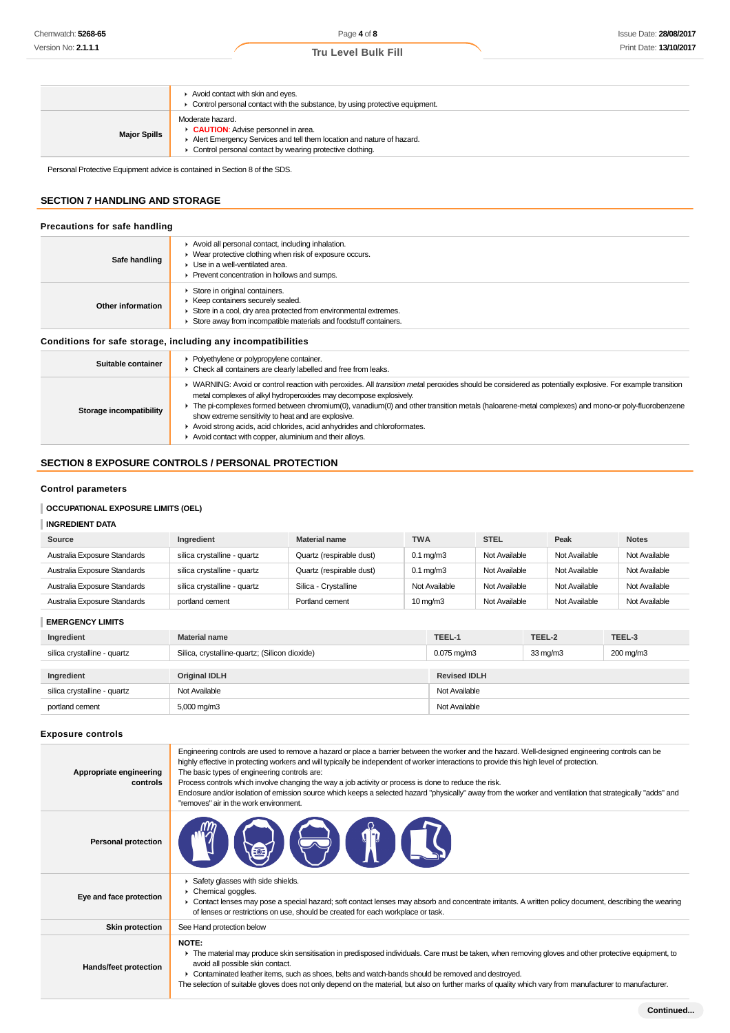|                     | Avoid contact with skin and eyes.<br>$\triangleright$ Control personal contact with the substance, by using protective equipment.                                                                    |
|---------------------|------------------------------------------------------------------------------------------------------------------------------------------------------------------------------------------------------|
| <b>Major Spills</b> | Moderate hazard.<br><b>CAUTION:</b> Advise personnel in area.<br>Alert Emergency Services and tell them location and nature of hazard.<br>• Control personal contact by wearing protective clothing. |

Personal Protective Equipment advice is contained in Section 8 of the SDS.

## **SECTION 7 HANDLING AND STORAGE**

| Precautions for safe handling |  |
|-------------------------------|--|
|                               |  |

| Safe handling                                                | Avoid all personal contact, including inhalation.<br>▶ Wear protective clothing when risk of exposure occurs.<br>• Use in a well-ventilated area.<br>Prevent concentration in hollows and sumps.            |
|--------------------------------------------------------------|-------------------------------------------------------------------------------------------------------------------------------------------------------------------------------------------------------------|
| Other information                                            | Store in original containers.<br>▶ Keep containers securely sealed.<br>Store in a cool, dry area protected from environmental extremes.<br>Store away from incompatible materials and foodstuff containers. |
| Conditions for safe storage, including any incompatibilities |                                                                                                                                                                                                             |
|                                                              | L. Dolugthulang ar nohmmanulang container                                                                                                                                                                   |

| Suitable container      | • Polyethylene or polypropylene container.<br>• Check all containers are clearly labelled and free from leaks.                                                                                                                                                                                                                                                                                                                                                                                                                                                                 |
|-------------------------|--------------------------------------------------------------------------------------------------------------------------------------------------------------------------------------------------------------------------------------------------------------------------------------------------------------------------------------------------------------------------------------------------------------------------------------------------------------------------------------------------------------------------------------------------------------------------------|
| Storage incompatibility | ▶ WARNING: Avoid or control reaction with peroxides. All transition metal peroxides should be considered as potentially explosive. For example transition<br>metal complexes of alkyl hydroperoxides may decompose explosively.<br>The pi-complexes formed between chromium(0), vanadium(0) and other transition metals (haloarene-metal complexes) and mono-or poly-fluorobenzene<br>show extreme sensitivity to heat and are explosive.<br>Avoid strong acids, acid chlorides, acid anhydrides and chloroformates.<br>Avoid contact with copper, aluminium and their alloys. |

## **SECTION 8 EXPOSURE CONTROLS / PERSONAL PROTECTION**

## **Control parameters**

## **OCCUPATIONAL EXPOSURE LIMITS (OEL)**

## **INGREDIENT DATA**

| Source                       | Ingredient                  | Material name            | <b>TWA</b>           | <b>STEL</b>   | Peak          | <b>Notes</b>  |
|------------------------------|-----------------------------|--------------------------|----------------------|---------------|---------------|---------------|
| Australia Exposure Standards | silica crystalline - quartz | Quartz (respirable dust) | $0.1 \text{ mg/m}$ 3 | Not Available | Not Available | Not Available |
| Australia Exposure Standards | silica crystalline - quartz | Quartz (respirable dust) | $0.1 \text{ ma/m}$ 3 | Not Available | Not Available | Not Available |
| Australia Exposure Standards | silica crystalline - quartz | Silica - Crystalline     | Not Available        | Not Available | Not Available | Not Available |
| Australia Exposure Standards | portland cement             | Portland cement          | $10 \,\mathrm{mq/m}$ | Not Available | Not Available | Not Available |

| <b>EMERGENCY LIMITS</b> |
|-------------------------|
|                         |

| Ingredient                  | <b>Material name</b>                          | TEEL-1<br>TEEL-2<br>TEEL-3 |                   |           |
|-----------------------------|-----------------------------------------------|----------------------------|-------------------|-----------|
| silica crystalline - quartz | Silica, crystalline-quartz; (Silicon dioxide) | $0.075 \,\mathrm{mq/m3}$   | $33 \text{ mg/m}$ | 200 mg/m3 |
|                             |                                               |                            |                   |           |
| Ingredient                  | <b>Original IDLH</b>                          | <b>Revised IDLH</b>        |                   |           |
| silica crystalline - quartz | Not Available                                 | Not Available              |                   |           |
| portland cement             | $5,000 \,\mathrm{mag/m}$                      | Not Available              |                   |           |

## **Exposure controls**

| Appropriate engineering<br>controls | Engineering controls are used to remove a hazard or place a barrier between the worker and the hazard. Well-designed engineering controls can be<br>highly effective in protecting workers and will typically be independent of worker interactions to provide this high level of protection.<br>The basic types of engineering controls are:<br>Process controls which involve changing the way a job activity or process is done to reduce the risk.<br>Enclosure and/or isolation of emission source which keeps a selected hazard "physically" away from the worker and ventilation that strategically "adds" and<br>"removes" air in the work environment. |
|-------------------------------------|-----------------------------------------------------------------------------------------------------------------------------------------------------------------------------------------------------------------------------------------------------------------------------------------------------------------------------------------------------------------------------------------------------------------------------------------------------------------------------------------------------------------------------------------------------------------------------------------------------------------------------------------------------------------|
| <b>Personal protection</b>          |                                                                                                                                                                                                                                                                                                                                                                                                                                                                                                                                                                                                                                                                 |
| Eye and face protection             | Safety glasses with side shields.<br>Chemical goggles.<br>► Contact lenses may pose a special hazard; soft contact lenses may absorb and concentrate irritants. A written policy document, describing the wearing<br>of lenses or restrictions on use, should be created for each workplace or task.                                                                                                                                                                                                                                                                                                                                                            |
| <b>Skin protection</b>              | See Hand protection below                                                                                                                                                                                                                                                                                                                                                                                                                                                                                                                                                                                                                                       |
| Hands/feet protection               | NOTE:<br>• The material may produce skin sensitisation in predisposed individuals. Care must be taken, when removing gloves and other protective equipment, to<br>avoid all possible skin contact.<br>► Contaminated leather items, such as shoes, belts and watch-bands should be removed and destroyed.<br>The selection of suitable gloves does not only depend on the material, but also on further marks of quality which vary from manufacturer to manufacturer.                                                                                                                                                                                          |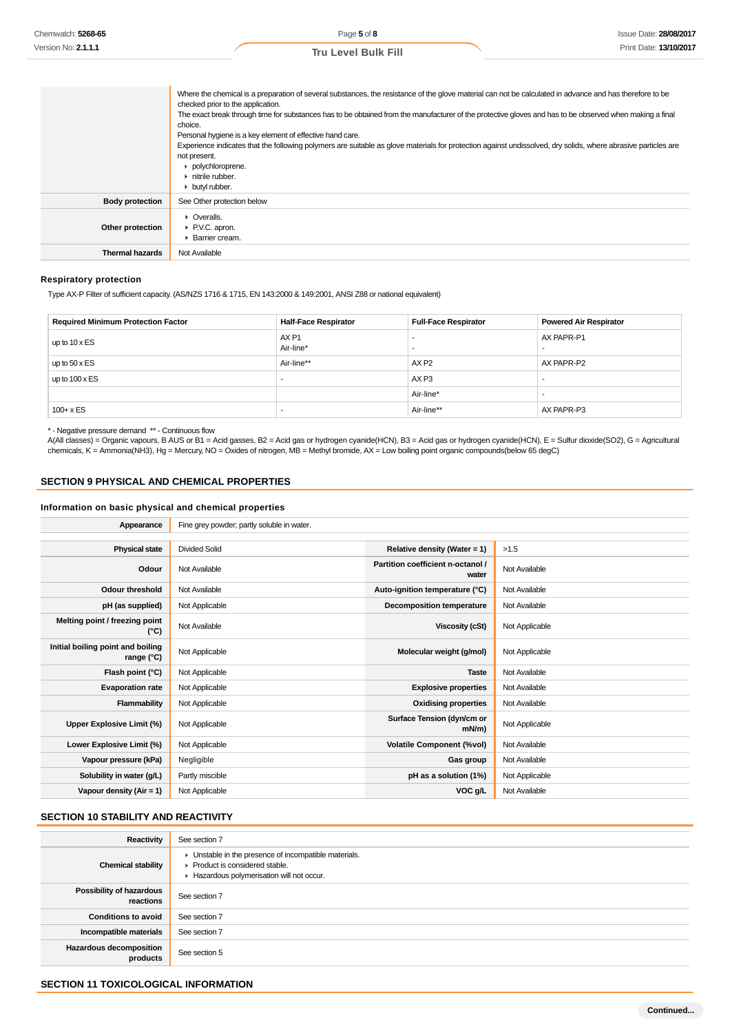|                        | Where the chemical is a preparation of several substances, the resistance of the glove material can not be calculated in advance and has therefore to be<br>checked prior to the application.<br>The exact break through time for substances has to be obtained from the manufacturer of the protective gloves and has to be observed when making a final<br>choice.<br>Personal hygiene is a key element of effective hand care.<br>Experience indicates that the following polymers are suitable as glove materials for protection against undissolved, dry solids, where abrasive particles are<br>not present.<br>polychloroprene.<br>$\blacktriangleright$ nitrile rubber.<br>butyl rubber. |
|------------------------|--------------------------------------------------------------------------------------------------------------------------------------------------------------------------------------------------------------------------------------------------------------------------------------------------------------------------------------------------------------------------------------------------------------------------------------------------------------------------------------------------------------------------------------------------------------------------------------------------------------------------------------------------------------------------------------------------|
| <b>Body protection</b> | See Other protection below                                                                                                                                                                                                                                                                                                                                                                                                                                                                                                                                                                                                                                                                       |
| Other protection       | $\triangleright$ Overalls.<br>▶ P.V.C. apron.<br>▶ Barrier cream.                                                                                                                                                                                                                                                                                                                                                                                                                                                                                                                                                                                                                                |
| Thermal hazards        | Not Available                                                                                                                                                                                                                                                                                                                                                                                                                                                                                                                                                                                                                                                                                    |

## **Respiratory protection**

Type AX-P Filter of sufficient capacity. (AS/NZS 1716 & 1715, EN 143:2000 & 149:2001, ANSI Z88 or national equivalent)

| <b>Required Minimum Protection Factor</b> | <b>Half-Face Respirator</b>   | <b>Full-Face Respirator</b> | <b>Powered Air Respirator</b> |
|-------------------------------------------|-------------------------------|-----------------------------|-------------------------------|
| up to $10 \times ES$                      | AX <sub>P1</sub><br>Air-line* |                             | AX PAPR-P1                    |
| up to $50 \times ES$                      | Air-line**                    | AX <sub>P2</sub>            | AX PAPR-P2                    |
| up to $100 \times ES$                     |                               | AX <sub>P3</sub>            |                               |
|                                           |                               | Air-line*                   | -                             |
| $100 + x ES$                              | -                             | Air-line**                  | AX PAPR-P3                    |

\* - Negative pressure demand \*\* - Continuous flow

A(All classes) = Organic vapours, B AUS or B1 = Acid gasses, B2 = Acid gas or hydrogen cyanide(HCN), B3 = Acid gas or hydrogen cyanide(HCN), E = Sulfur dioxide(SO2), G = Agricultural chemicals, K = Ammonia(NH3), Hg = Mercury, NO = Oxides of nitrogen, MB = Methyl bromide, AX = Low boiling point organic compounds(below 65 degC)

## **SECTION 9 PHYSICAL AND CHEMICAL PROPERTIES**

## **Information on basic physical and chemical properties**

| Appearance                                      | Fine grey powder; partly soluble in water. |                                            |                |
|-------------------------------------------------|--------------------------------------------|--------------------------------------------|----------------|
|                                                 |                                            |                                            |                |
| <b>Physical state</b>                           | <b>Divided Solid</b>                       | Relative density (Water = $1$ )            | >1.5           |
| Odour                                           | Not Available                              | Partition coefficient n-octanol /<br>water | Not Available  |
| <b>Odour threshold</b>                          | Not Available                              | Auto-ignition temperature (°C)             | Not Available  |
| pH (as supplied)                                | Not Applicable                             | <b>Decomposition temperature</b>           | Not Available  |
| Melting point / freezing point<br>(°C)          | Not Available                              | Viscosity (cSt)                            | Not Applicable |
| Initial boiling point and boiling<br>range (°C) | Not Applicable                             | Molecular weight (g/mol)                   | Not Applicable |
| Flash point (°C)                                | Not Applicable                             | <b>Taste</b>                               | Not Available  |
| <b>Evaporation rate</b>                         | Not Applicable                             | <b>Explosive properties</b>                | Not Available  |
| <b>Flammability</b>                             | Not Applicable                             | <b>Oxidising properties</b>                | Not Available  |
| Upper Explosive Limit (%)                       | Not Applicable                             | Surface Tension (dyn/cm or<br>$mN/m$ )     | Not Applicable |
| Lower Explosive Limit (%)                       | Not Applicable                             | <b>Volatile Component (%vol)</b>           | Not Available  |
| Vapour pressure (kPa)                           | Negligible                                 | Gas group                                  | Not Available  |
| Solubility in water (g/L)                       | Partly miscible                            | pH as a solution (1%)                      | Not Applicable |
| Vapour density $(Air = 1)$                      | Not Applicable                             | VOC g/L                                    | Not Available  |

## **SECTION 10 STABILITY AND REACTIVITY**

| Reactivity                                 | See section 7                                                                                                                        |
|--------------------------------------------|--------------------------------------------------------------------------------------------------------------------------------------|
| <b>Chemical stability</b>                  | • Unstable in the presence of incompatible materials.<br>▶ Product is considered stable.<br>Hazardous polymerisation will not occur. |
| Possibility of hazardous<br>reactions      | See section 7                                                                                                                        |
| <b>Conditions to avoid</b>                 | See section 7                                                                                                                        |
| Incompatible materials                     | See section 7                                                                                                                        |
| <b>Hazardous decomposition</b><br>products | See section 5                                                                                                                        |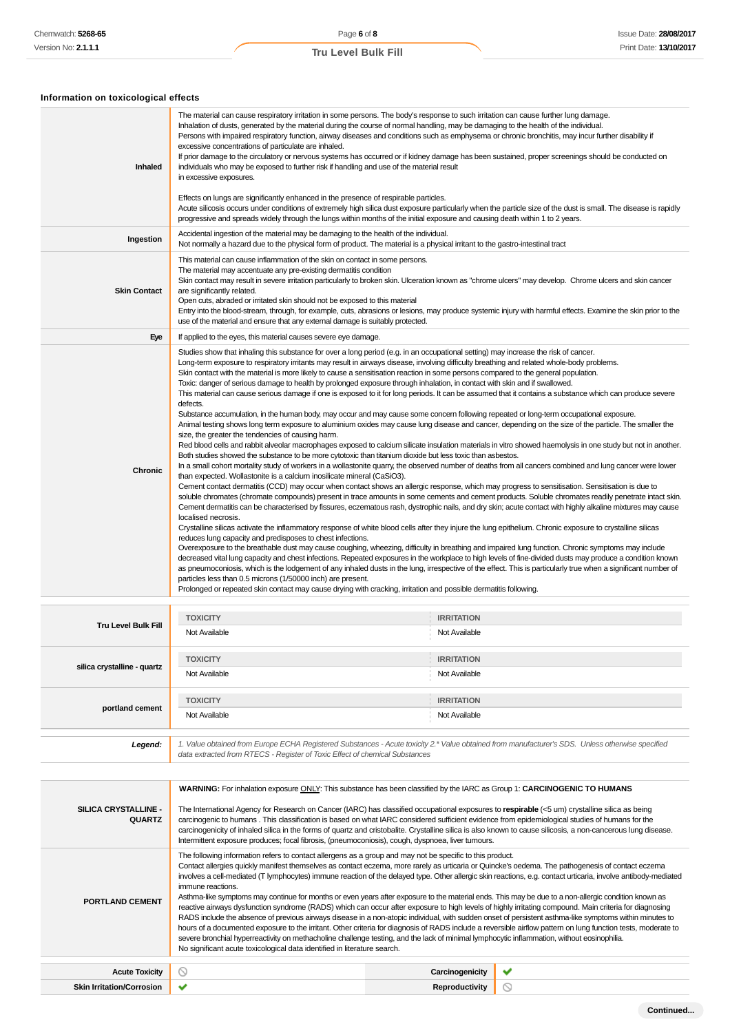## **Information on toxicological effects**

| Inhaled             | The material can cause respiratory irritation in some persons. The body's response to such irritation can cause further lung damage.<br>Inhalation of dusts, generated by the material during the course of normal handling, may be damaging to the health of the individual.<br>Persons with impaired respiratory function, airway diseases and conditions such as emphysema or chronic bronchitis, may incur further disability if<br>excessive concentrations of particulate are inhaled.<br>If prior damage to the circulatory or nervous systems has occurred or if kidney damage has been sustained, proper screenings should be conducted on<br>individuals who may be exposed to further risk if handling and use of the material result<br>in excessive exposures.<br>Effects on lungs are significantly enhanced in the presence of respirable particles.<br>Acute silicosis occurs under conditions of extremely high silica dust exposure particularly when the particle size of the dust is small. The disease is rapidly<br>progressive and spreads widely through the lungs within months of the initial exposure and causing death within 1 to 2 years.                                                                                                                                                                                                                                                                                                                                                                                                                                                                                                                                                                                                                                                                                                                                                                                                                                                                                                                                                                                                                                                                                                                                                                                                                                                                                                                                                                                                                                                                                                                                                                                                                                                                                                                                                                                                                                           |
|---------------------|-------------------------------------------------------------------------------------------------------------------------------------------------------------------------------------------------------------------------------------------------------------------------------------------------------------------------------------------------------------------------------------------------------------------------------------------------------------------------------------------------------------------------------------------------------------------------------------------------------------------------------------------------------------------------------------------------------------------------------------------------------------------------------------------------------------------------------------------------------------------------------------------------------------------------------------------------------------------------------------------------------------------------------------------------------------------------------------------------------------------------------------------------------------------------------------------------------------------------------------------------------------------------------------------------------------------------------------------------------------------------------------------------------------------------------------------------------------------------------------------------------------------------------------------------------------------------------------------------------------------------------------------------------------------------------------------------------------------------------------------------------------------------------------------------------------------------------------------------------------------------------------------------------------------------------------------------------------------------------------------------------------------------------------------------------------------------------------------------------------------------------------------------------------------------------------------------------------------------------------------------------------------------------------------------------------------------------------------------------------------------------------------------------------------------------------------------------------------------------------------------------------------------------------------------------------------------------------------------------------------------------------------------------------------------------------------------------------------------------------------------------------------------------------------------------------------------------------------------------------------------------------------------------------------------------------------------------------------------------------------------------------------|
| Ingestion           | Accidental ingestion of the material may be damaging to the health of the individual.<br>Not normally a hazard due to the physical form of product. The material is a physical irritant to the gastro-intestinal tract                                                                                                                                                                                                                                                                                                                                                                                                                                                                                                                                                                                                                                                                                                                                                                                                                                                                                                                                                                                                                                                                                                                                                                                                                                                                                                                                                                                                                                                                                                                                                                                                                                                                                                                                                                                                                                                                                                                                                                                                                                                                                                                                                                                                                                                                                                                                                                                                                                                                                                                                                                                                                                                                                                                                                                                            |
| <b>Skin Contact</b> | This material can cause inflammation of the skin on contact in some persons.<br>The material may accentuate any pre-existing dermatitis condition<br>Skin contact may result in severe irritation particularly to broken skin. Ulceration known as "chrome ulcers" may develop. Chrome ulcers and skin cancer<br>are significantly related.<br>Open cuts, abraded or irritated skin should not be exposed to this material<br>Entry into the blood-stream, through, for example, cuts, abrasions or lesions, may produce systemic injury with harmful effects. Examine the skin prior to the<br>use of the material and ensure that any external damage is suitably protected.                                                                                                                                                                                                                                                                                                                                                                                                                                                                                                                                                                                                                                                                                                                                                                                                                                                                                                                                                                                                                                                                                                                                                                                                                                                                                                                                                                                                                                                                                                                                                                                                                                                                                                                                                                                                                                                                                                                                                                                                                                                                                                                                                                                                                                                                                                                                    |
| Eye                 | If applied to the eyes, this material causes severe eye damage.                                                                                                                                                                                                                                                                                                                                                                                                                                                                                                                                                                                                                                                                                                                                                                                                                                                                                                                                                                                                                                                                                                                                                                                                                                                                                                                                                                                                                                                                                                                                                                                                                                                                                                                                                                                                                                                                                                                                                                                                                                                                                                                                                                                                                                                                                                                                                                                                                                                                                                                                                                                                                                                                                                                                                                                                                                                                                                                                                   |
| <b>Chronic</b>      | Studies show that inhaling this substance for over a long period (e.g. in an occupational setting) may increase the risk of cancer.<br>Long-term exposure to respiratory irritants may result in airways disease, involving difficulty breathing and related whole-body problems.<br>Skin contact with the material is more likely to cause a sensitisation reaction in some persons compared to the general population.<br>Toxic: danger of serious damage to health by prolonged exposure through inhalation, in contact with skin and if swallowed.<br>This material can cause serious damage if one is exposed to it for long periods. It can be assumed that it contains a substance which can produce severe<br>defects.<br>Substance accumulation, in the human body, may occur and may cause some concern following repeated or long-term occupational exposure.<br>Animal testing shows long term exposure to aluminium oxides may cause lung disease and cancer, depending on the size of the particle. The smaller the<br>size, the greater the tendencies of causing harm.<br>Red blood cells and rabbit alveolar macrophages exposed to calcium silicate insulation materials in vitro showed haemolysis in one study but not in another.<br>Both studies showed the substance to be more cytotoxic than titanium dioxide but less toxic than asbestos.<br>In a small cohort mortality study of workers in a wollastonite quarry, the observed number of deaths from all cancers combined and lung cancer were lower<br>than expected. Wollastonite is a calcium inosilicate mineral (CaSiO3).<br>Cement contact dermatitis (CCD) may occur when contact shows an allergic response, which may progress to sensitisation. Sensitisation is due to<br>soluble chromates (chromate compounds) present in trace amounts in some cements and cement products. Soluble chromates readily penetrate intact skin.<br>Cement dermatitis can be characterised by fissures, eczematous rash, dystrophic nails, and dry skin; acute contact with highly alkaline mixtures may cause<br>localised necrosis.<br>Crystalline silicas activate the inflammatory response of white blood cells after they injure the lung epithelium. Chronic exposure to crystalline silicas<br>reduces lung capacity and predisposes to chest infections.<br>Overexposure to the breathable dust may cause coughing, wheezing, difficulty in breathing and impaired lung function. Chronic symptoms may include<br>decreased vital lung capacity and chest infections. Repeated exposures in the workplace to high levels of fine-divided dusts may produce a condition known<br>as pneumoconiosis, which is the lodgement of any inhaled dusts in the lung, irrespective of the effect. This is particularly true when a significant number of<br>particles less than 0.5 microns (1/50000 inch) are present.<br>Prolonged or repeated skin contact may cause drying with cracking, irritation and possible dermatitis following. |

| <b>Tru Level Bulk Fill</b>  | <b>TOXICITY</b><br>Not Available                                                                                                                                                                                                | <b>IRRITATION</b><br>Not Available |
|-----------------------------|---------------------------------------------------------------------------------------------------------------------------------------------------------------------------------------------------------------------------------|------------------------------------|
| silica crystalline - quartz | <b>TOXICITY</b><br>Not Available                                                                                                                                                                                                | <b>IRRITATION</b><br>Not Available |
| portland cement             | <b>TOXICITY</b><br>Not Available                                                                                                                                                                                                | <b>IRRITATION</b><br>Not Available |
| Legend:                     | 1. Value obtained from Europe ECHA Registered Substances - Acute toxicity 2.* Value obtained from manufacturer's SDS. Unless otherwise specified<br>data extracted from RTECS - Register of Toxic Effect of chemical Substances |                                    |

|                                       | WARNING: For inhalation exposure ONLY: This substance has been classified by the IARC as Group 1: CARCINOGENIC TO HUMANS                                                                                                                                                                                                                                                                                                                                                                                                                                                                                                                                                                                                                                                                                                                                                                                                                                                                                                                                                                                                                                                                                                                                                                                                       |                       |   |
|---------------------------------------|--------------------------------------------------------------------------------------------------------------------------------------------------------------------------------------------------------------------------------------------------------------------------------------------------------------------------------------------------------------------------------------------------------------------------------------------------------------------------------------------------------------------------------------------------------------------------------------------------------------------------------------------------------------------------------------------------------------------------------------------------------------------------------------------------------------------------------------------------------------------------------------------------------------------------------------------------------------------------------------------------------------------------------------------------------------------------------------------------------------------------------------------------------------------------------------------------------------------------------------------------------------------------------------------------------------------------------|-----------------------|---|
| SILICA CRYSTALLINE -<br><b>QUARTZ</b> | The International Agency for Research on Cancer (IARC) has classified occupational exposures to respirable (<5 um) crystalline silica as being<br>carcinogenic to humans. This classification is based on what IARC considered sufficient evidence from epidemiological studies of humans for the<br>carcinogenicity of inhaled silica in the forms of quartz and cristobalite. Crystalline silica is also known to cause silicosis, a non-cancerous lung disease.<br>Intermittent exposure produces; focal fibrosis, (pneumoconiosis), cough, dyspnoea, liver tumours.                                                                                                                                                                                                                                                                                                                                                                                                                                                                                                                                                                                                                                                                                                                                                        |                       |   |
| <b>PORTLAND CEMENT</b>                | The following information refers to contact allergens as a group and may not be specific to this product.<br>Contact allergies quickly manifest themselves as contact eczema, more rarely as urticaria or Quincke's oedema. The pathogenesis of contact eczema<br>involves a cell-mediated (T lymphocytes) immune reaction of the delayed type. Other allergic skin reactions, e.g. contact urticaria, involve antibody-mediated<br>immune reactions.<br>Asthma-like symptoms may continue for months or even years after exposure to the material ends. This may be due to a non-allergic condition known as<br>reactive airways dysfunction syndrome (RADS) which can occur after exposure to high levels of highly irritating compound. Main criteria for diagnosing<br>RADS include the absence of previous airways disease in a non-atopic individual, with sudden onset of persistent asthma-like symptoms within minutes to<br>hours of a documented exposure to the irritant. Other criteria for diagnosis of RADS include a reversible airflow pattern on lung function tests, moderate to<br>severe bronchial hyperreactivity on methacholine challenge testing, and the lack of minimal lymphocytic inflammation, without eosinophilia.<br>No significant acute toxicological data identified in literature search. |                       |   |
| <b>Acute Toxicity</b>                 | $\circ$                                                                                                                                                                                                                                                                                                                                                                                                                                                                                                                                                                                                                                                                                                                                                                                                                                                                                                                                                                                                                                                                                                                                                                                                                                                                                                                        | Carcinogenicity       | ✔ |
| <b>Skin Irritation/Corrosion</b>      | ✔                                                                                                                                                                                                                                                                                                                                                                                                                                                                                                                                                                                                                                                                                                                                                                                                                                                                                                                                                                                                                                                                                                                                                                                                                                                                                                                              | <b>Reproductivity</b> |   |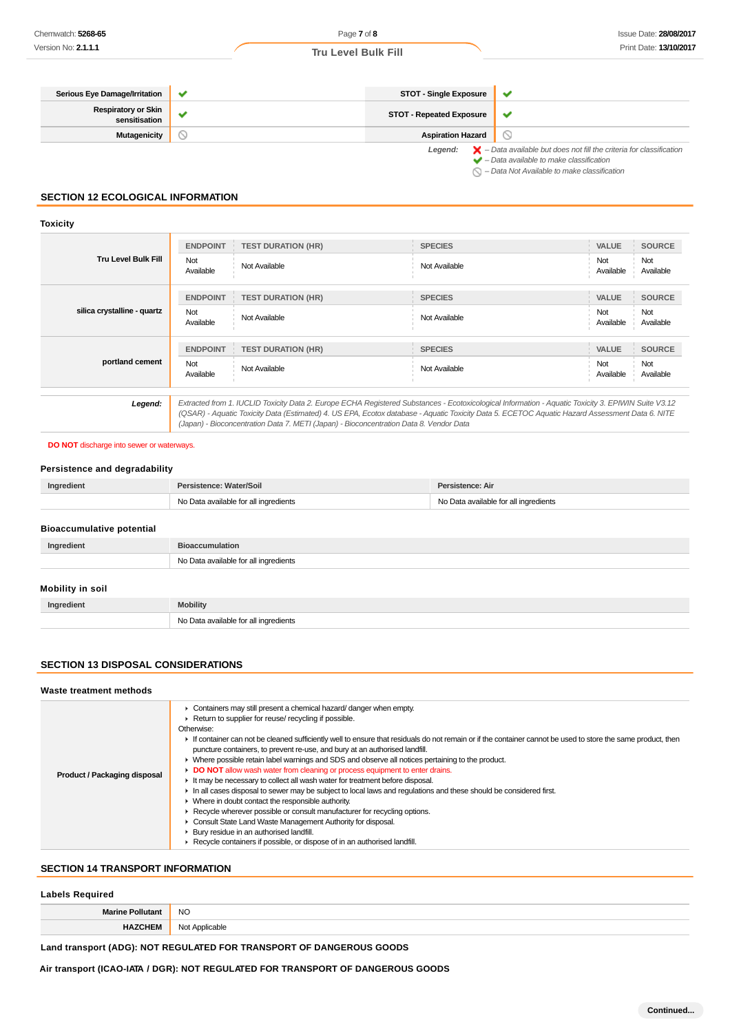#### **Serious Eye Damage/Irritation STOT - Single Exposure**  $\overline{\mathbf{v}}$ **Respiratory or Skin sensitisation STOT - Repeated Exposure**  $\checkmark$  $\odot$ **Mutagenicity Aspiration Hazard** Legend:  $\blacktriangleright$  - Data available but does not fill the criteria for classification<br>  $\blacktriangleright$  - Data available to make classification  $\bigcirc$  – Data Not Available to make classification

## **SECTION 12 ECOLOGICAL INFORMATION**

#### **Toxicity**

|                             | <b>ENDPOINT</b>                                                                                                                                                                                                                                                                                                                                                                                 | <b>TEST DURATION (HR)</b> | <b>SPECIES</b> | <b>VALUE</b>     | <b>SOURCE</b>    |
|-----------------------------|-------------------------------------------------------------------------------------------------------------------------------------------------------------------------------------------------------------------------------------------------------------------------------------------------------------------------------------------------------------------------------------------------|---------------------------|----------------|------------------|------------------|
| <b>Tru Level Bulk Fill</b>  | Not<br>Available                                                                                                                                                                                                                                                                                                                                                                                | Not Available             | Not Available  | Not<br>Available | Not<br>Available |
|                             | <b>ENDPOINT</b>                                                                                                                                                                                                                                                                                                                                                                                 | <b>TEST DURATION (HR)</b> | <b>SPECIES</b> | <b>VALUE</b>     | <b>SOURCE</b>    |
| silica crystalline - quartz | Not<br>Available                                                                                                                                                                                                                                                                                                                                                                                | Not Available             | Not Available  | Not<br>Available | Not<br>Available |
|                             | <b>ENDPOINT</b>                                                                                                                                                                                                                                                                                                                                                                                 | <b>TEST DURATION (HR)</b> | <b>SPECIES</b> | <b>VALUE</b>     | <b>SOURCE</b>    |
| portland cement             | Not<br>Available                                                                                                                                                                                                                                                                                                                                                                                | Not Available             | Not Available  | Not<br>Available | Not<br>Available |
|                             |                                                                                                                                                                                                                                                                                                                                                                                                 |                           |                |                  |                  |
| Legend:                     | Extracted from 1. IUCLID Toxicity Data 2. Europe ECHA Registered Substances - Ecotoxicological Information - Aquatic Toxicity 3. EPIWIN Suite V3.12<br>(QSAR) - Aquatic Toxicity Data (Estimated) 4. US EPA, Ecotox database - Aquatic Toxicity Data 5. ECETOC Aquatic Hazard Assessment Data 6. NITE<br>(Japan) - Bioconcentration Data 7. METI (Japan) - Bioconcentration Data 8. Vendor Data |                           |                |                  |                  |

#### **DO NOT** discharge into sewer or waterways.

## **Persistence and degradability**

| Ingredient                       | Persistence: Water/Soil               | Persistence: Air                      |
|----------------------------------|---------------------------------------|---------------------------------------|
|                                  | No Data available for all ingredients | No Data available for all ingredients |
|                                  |                                       |                                       |
| <b>Bioaccumulative potential</b> |                                       |                                       |
| Ingredient                       | <b>Bioaccumulation</b>                |                                       |
|                                  | No Data available for all ingredients |                                       |
|                                  |                                       |                                       |
| Mobility in soil                 |                                       |                                       |
| Ingredient                       | <b>Mobility</b>                       |                                       |
|                                  | No Data available for all ingredients |                                       |

## **SECTION 13 DISPOSAL CONSIDERATIONS**

#### **Waste treatment methods**

| Product / Packaging disposal | • Containers may still present a chemical hazard/ danger when empty.<br>Return to supplier for reuse/ recycling if possible.<br>Otherwise:<br>If container can not be cleaned sufficiently well to ensure that residuals do not remain or if the container cannot be used to store the same product, then<br>puncture containers, to prevent re-use, and bury at an authorised landfill.<br>► Where possible retain label warnings and SDS and observe all notices pertaining to the product.<br>• DO NOT allow wash water from cleaning or process equipment to enter drains.<br>If It may be necessary to collect all wash water for treatment before disposal.<br>In all cases disposal to sewer may be subject to local laws and requlations and these should be considered first.<br>• Where in doubt contact the responsible authority.<br>► Recycle wherever possible or consult manufacturer for recycling options.<br>Consult State Land Waste Management Authority for disposal.<br>Bury residue in an authorised landfill.<br>▶ Recycle containers if possible, or dispose of in an authorised landfill. |  |
|------------------------------|---------------------------------------------------------------------------------------------------------------------------------------------------------------------------------------------------------------------------------------------------------------------------------------------------------------------------------------------------------------------------------------------------------------------------------------------------------------------------------------------------------------------------------------------------------------------------------------------------------------------------------------------------------------------------------------------------------------------------------------------------------------------------------------------------------------------------------------------------------------------------------------------------------------------------------------------------------------------------------------------------------------------------------------------------------------------------------------------------------------------|--|

## **SECTION 14 TRANSPORT INFORMATION**

## **Labels Required**

| Morino <b>De</b>        | <b>NO</b>                                                    |
|-------------------------|--------------------------------------------------------------|
| itant                   |                                                              |
| <b>HAZCHEN</b><br>-nch. | N <sub>0</sub><br>Applicable<br>ישנ<br>. <del>.</del><br>___ |

## **Land transport (ADG): NOT REGULATED FOR TRANSPORT OF DANGEROUS GOODS**

**Air transport (ICAO-IATA / DGR): NOT REGULATED FOR TRANSPORT OF DANGEROUS GOODS**